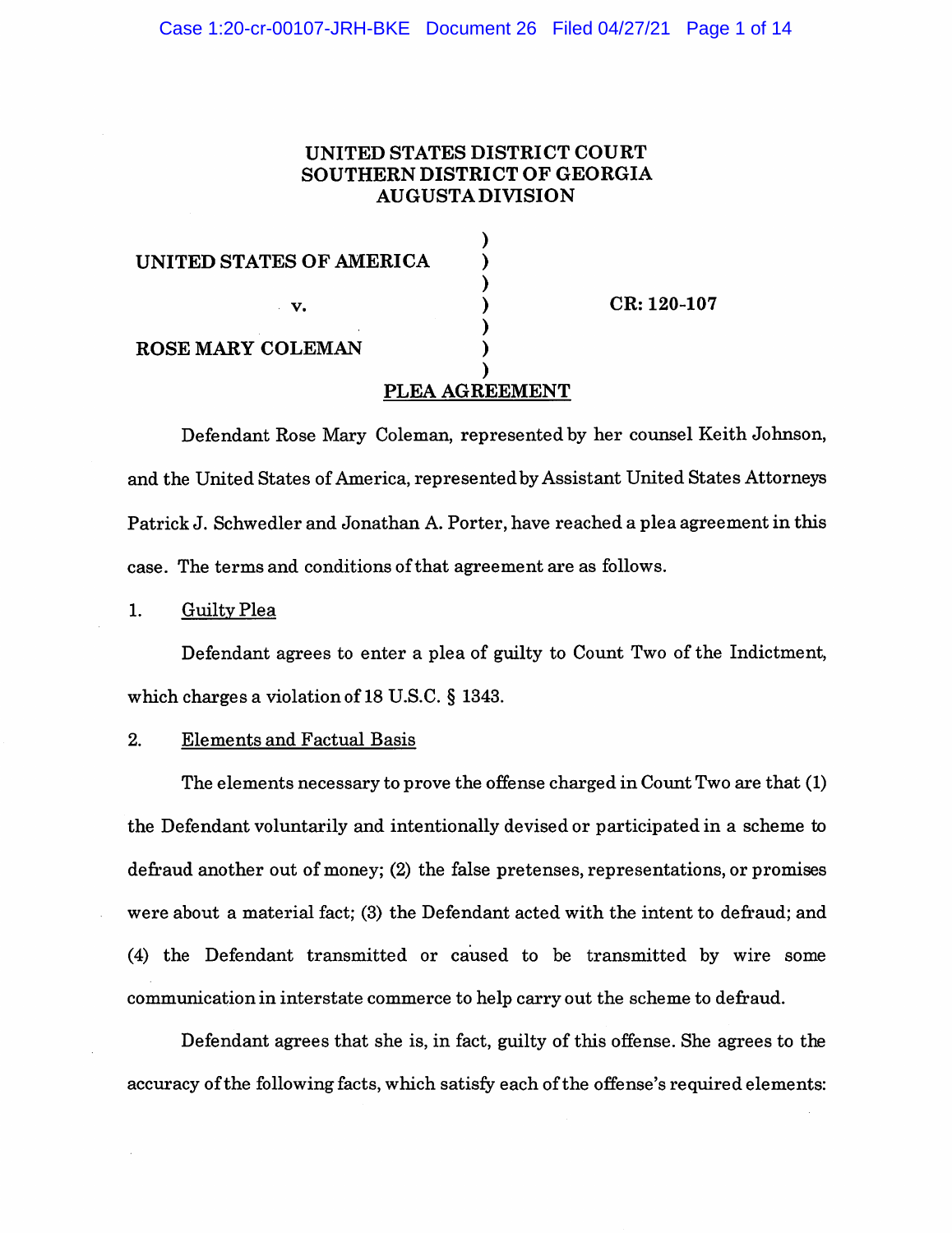# UNITED STATES DISTRICT COURT SOUTHERN DISTRICT OF GEORGIA AUGUSTA DIVISION

| UNITED STATES OF AMERICA |                |             |
|--------------------------|----------------|-------------|
| $\mathbf{v}$             |                | CR: 120-107 |
| <b>ROSE MARY COLEMAN</b> |                |             |
|                          | PLEA AGREEMENT |             |

Defendant Rose Mary Coleman, represented by her counsel Keith Johnson, and the United States of America, represented by Assistant United States Attorneys Patrick J. Schwedler and Jonathan A. Porter, have reached a plea agreement in this case. The terms and conditions of that agreement are as follows.

1. Guilty Plea

Defendant agrees to enter a plea of guilty to Count Two of the Indictment, which charges a violation of 18 U.S.C. § 1343.

# 2. Elements and Factual Basis

The elements necessary to prove the offense charged in Count Two are that (1) the Defendant voluntarily and intentionally devised or participated in a scheme to defraud another out of money; (2) the false pretenses, representations, or promises were about a material fact; (3) the Defendant acted with the intent to defraud; and (4) the Defendant transmitted or caused to be transmitted by wire some communication in interstate commerce to help carry out the scheme to defraud.

Defendant agrees that she is, in fact, guilty of this offense. She agrees to the accuracy of the following facts, which satisfy each of the offense's required elements: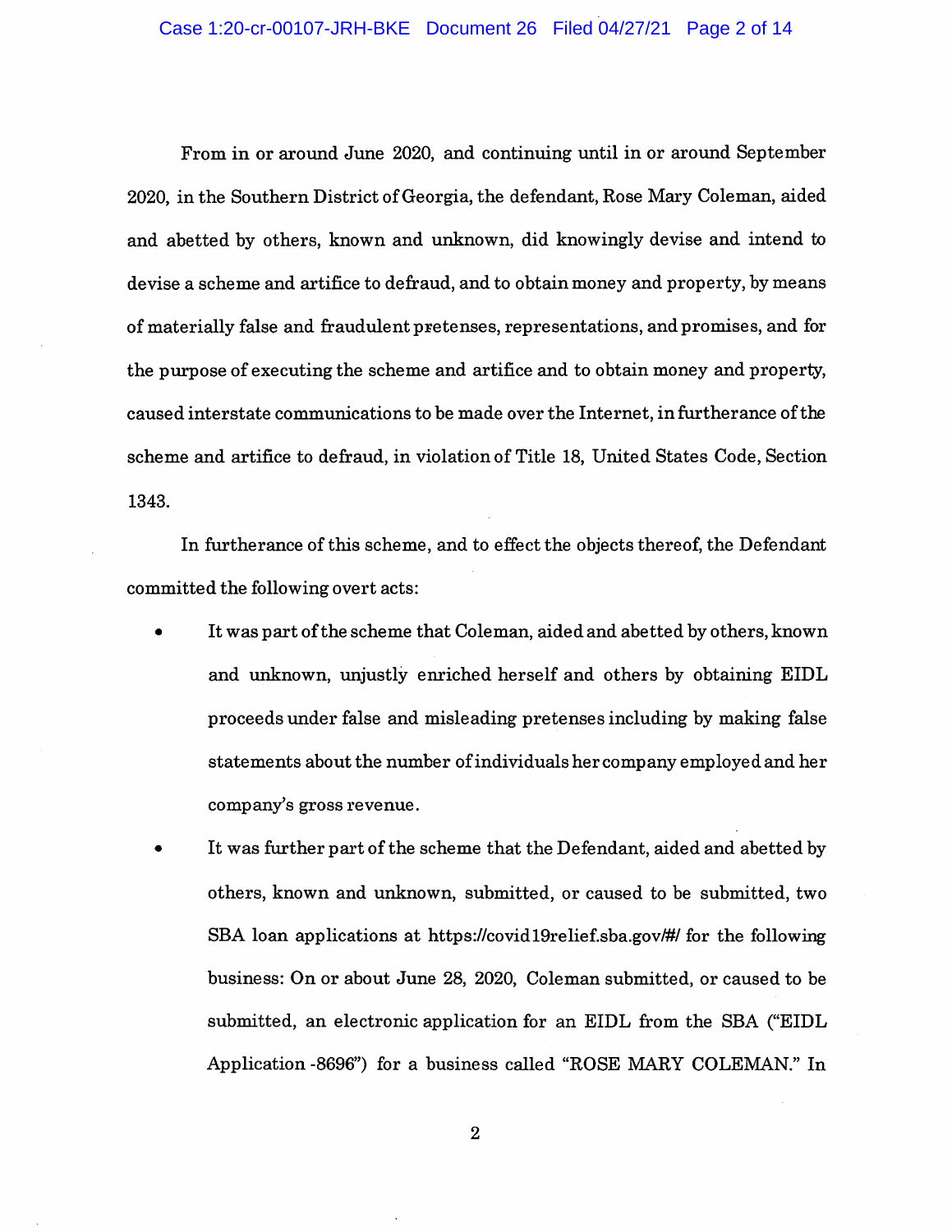### Case 1:20-cr-00107-JRH-BKE Document 26 Filed 04/27/21 Page 2 of 14

From in or around June 2020, and continuing until in or around September 2020, in the Southern District of Georgia, the defendant, Rose Mary Coleman, aided and abetted by others, known and unknown, did knowingly devise and intend to devise a scheme and artifice to defraud, and to obtain money and property, by means of materially false and fraudulent pretenses, representations, and promises, and for the purpose of executing the scheme and artifice and to obtain money and property, caused interstate communications to be made over the Internet, in furtherance of the scheme and artifice to defraud, in violation of Title 18, United States Code, Section 1343.

In furtherance of this scheme, and to effect the objects thereof, the Defendant committed the following overt acts:

- It was part of the scheme that Coleman, aided and abetted by others, known and unknown, unjustly enriched herself and others by obtaining EIDL proceeds under false and misleading pretenses including by making false statements about the number of individuals her company employed and her company's gross revenue.
- It was further part of the scheme that the Defendant, aided and abetted by others, known and unknown, submitted, or caused to be submitted, two SBA loan applications at https://covid19relief.sba.gov/#/ for the following business: On or about June 28, 2020, Coleman submitted, or caused to be submitted, an electronic application for an EIDL from the SBA ("EIDL Application -8696") for a business called "ROSE MARY COLEMAN." In

 $\overline{2}$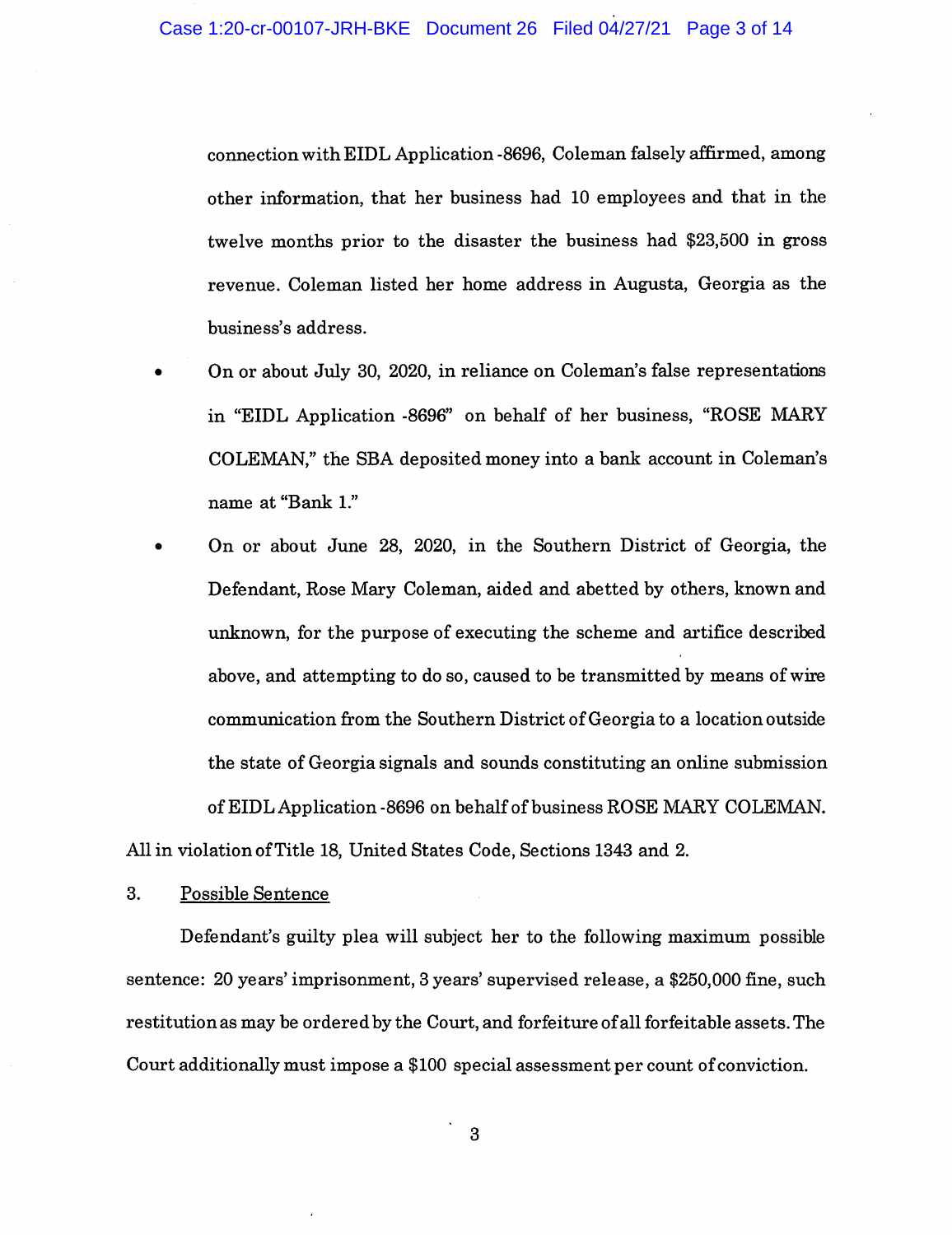connection with EIDL Application -8696, Coleman falsely affirmed, among other information, that her business had 10 employees and that in the twelve months prior to the disaster the business had \$23,500 in gross revenue. Coleman listed her home address in Augusta, Georgia as the business's address.

- On or about July 30, 2020, in reliance on Coleman's false representations in "EIDL Application -8696" on behalf of her business, "ROSE MARY COLEMAN," the SBA deposited money into a bank account in Coleman's name at "Bank 1."
- On or about June 28, 2020, in the Southern District of Georgia, the Defendant, Rose Mary Coleman, aided and abetted by others, known and unknown, for the purpose of executing the scheme and artifice described above, and attempting to do so, caused to be transmitted by means of wire communication from the Southern District of Georgia to a location outside the state of Georgia signals and sounds constituting an online submission of EIDL Application-8696 on behalf of business ROSE MARY COLEMAN.

All in violation of Title 18, United States Code, Sections 1343 and 2.

# 3. Possible Sentence

Defendant's guilty plea will subject her to the following maximum possible sentence: 20 years' imprisonment, 3 years' supervised release, a \$250,000 fine, such restitution as may be ordered by the Court, and forfeiture of all forfeitable assets. The Court additionally must impose a \$100 special assessment per count of conviction.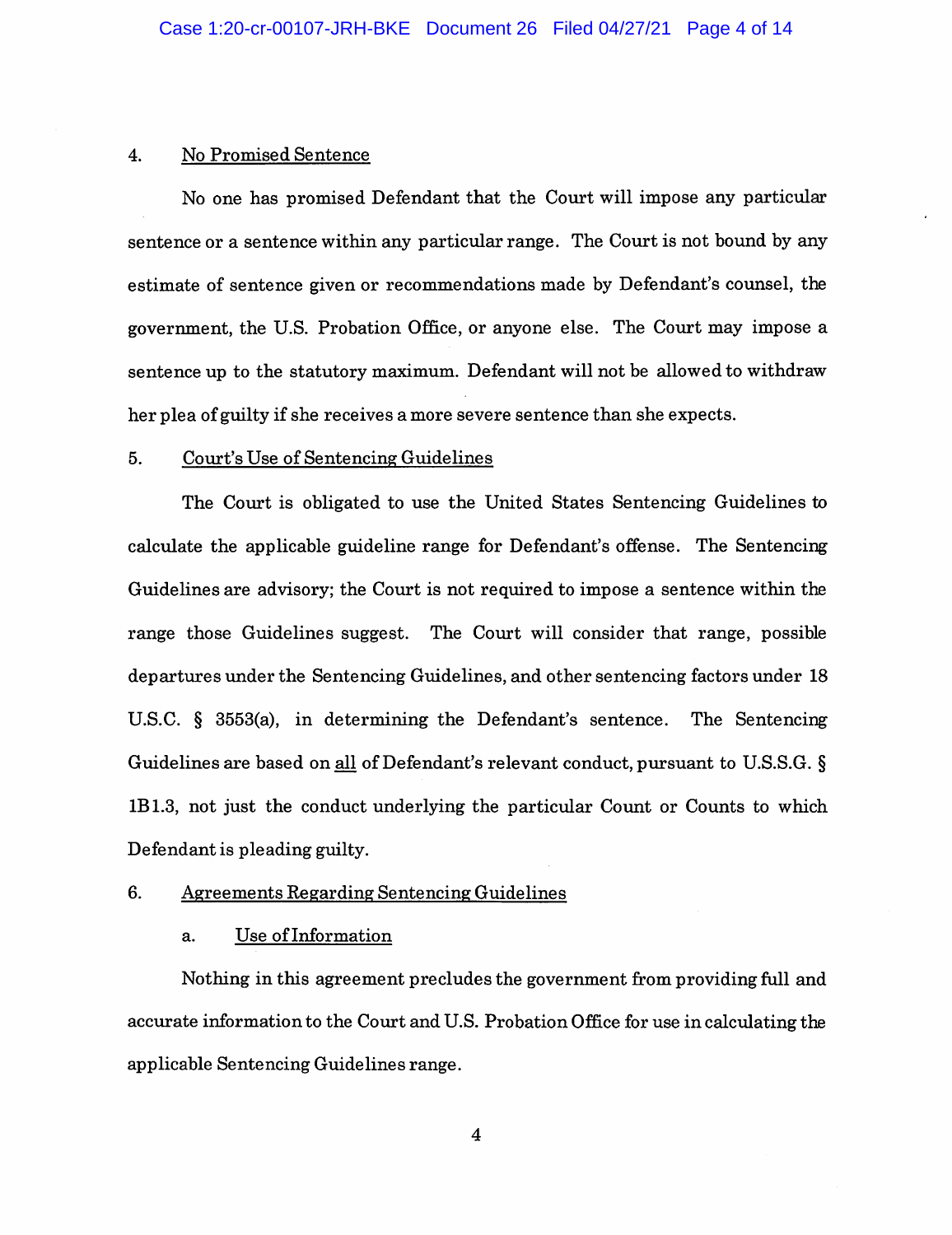#### 4. No Promised Sentence

No one has promised Defendant that the Court will impose any particular sentence or a sentence within any particular range. The Court is not bound by any estimate of sentence given or recommendations made by Defendant's counsel, the government, the U.S. Probation Office, or anyone else. The Court may impose a sentence up to the statutory maximum. Defendant will not be allowed to withdraw her plea of guilty if she receives a more severe sentence than she expects.

#### 5. Court's Use of Sentencing Guidelines

The Court is obligated to use the United States Sentencing Guidelines to calculate the applicable guideline range for Defendant's offense. The Sentencing Guidelines are advisory; the Court is not required to impose a sentence within the range those Guidelines suggest. The Court will consider that range, possible departures under the Sentencing Guidelines, and other sentencing factors under 18 U.S.C. § 3553(a), in determining the Defendant's sentence. The Sentencing Guidelines are based on all of Defendant's relevant conduct, pursuant to U.S.S.G.  $\S$ 1B1.3, not just the conduct underlying the particular Count or Counts to which Defendant is pleading guilty.

# 6. Agreements Regarding Sentencing Guidelines

### a. Use of Information

Nothing in this agreement precludes the government from providing full and accurate information to the Court and U.S. Probation Office for use in calculating the applicable Sentencing Guidelines range.

 $\overline{4}$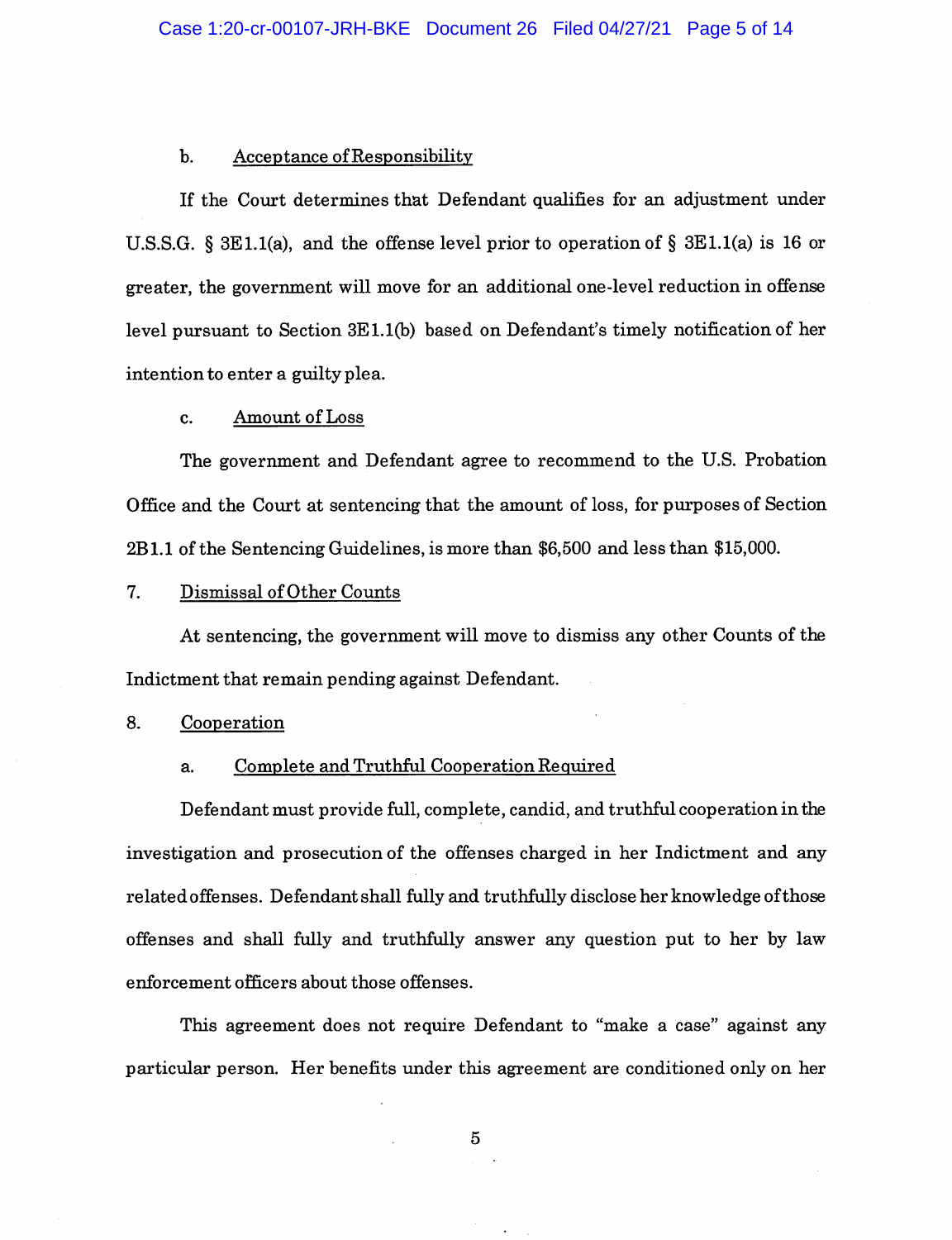#### b. Acceptance of Responsibility

If the Court determines that Defendant qualifies for an adjustment under U.S.S.G. § 3E1.1(a), and the offense level prior to operation of § 3E1.1(a) is 16 or greater, the government will move for an additional one-level reduction in offense level pursuant to Section 3E 1.1(b) based on Defendant's timely notification of her intention to enter a guilty plea.

#### c. Amount of Loss

The government and Defendant agree to recommend to the U.S. Probation Office and the Court at sentencing that the amount of loss, for purposes of Section 2B1.1 of the Sentencing Guidelines, is more than \$6,500 and less than \$15,000.

### 7. Dismissal of Other Counts

At sentencing, the government will move to dismiss any other Counts of the Indictment that remain pending against Defendant.

#### 8. Cooperation

#### a. Complete and Truthful Cooperation Required

Defendant must provide full, complete, candid, and truthful cooperation in the investigation and prosecution of the offenses charged in her Indictment and any related offenses. Defendant shall fully and truthfully disclose her knowledge of those offenses and shall fully and truthfully answer any question put to her by law enforcement officers about those offenses.

This agreement does not require Defendant to "make a case" against any particular person. Her benefits under this agreement are conditioned only on her

 $\overline{5}$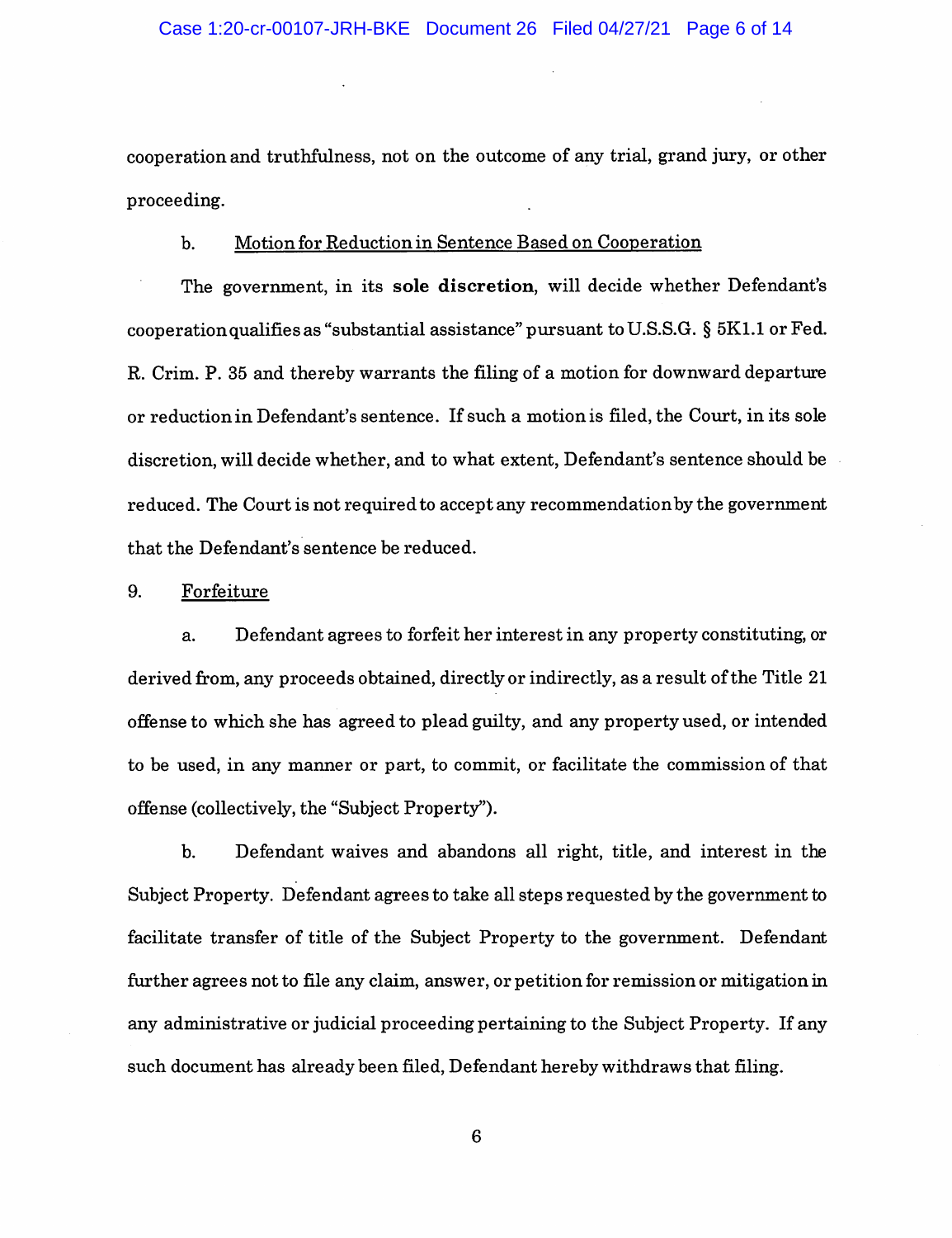cooperation and truthfulness, not on the outcome of any trial, grand jury, or other proceeding,

### b. Motion for Reduction in Sentence Based on Cooperation

The government, in its sole discretion, will decide whether Defendant's cooperation qualifies as "substantial assistance" pursuant to U.S.S.G.  $\S$  5K1.1 or Fed. R. Crim. P. 35 and thereby warrants the filing of a motion for downward departure or reduction in Defendant's sentence. If such a motion is filed, the Court, in its sole discretion, will decide whether, and to what extent, Defendant's sentence should be reduced. The Court is not required to accept any recommendation by the government that the Defendant's sentence be reduced.

# 9. Forfeiture

a. Defendant agrees to forfeit her interest in any property constituting, or derived from, any proceeds obtained, directly or indirectly, as a result of the Title 21 offense to which she has agreed to plead guilty, and any property used, or intended to be used, in any manner or part, to commit, or facilitate the commission of that offense (collectively, the "Subject Property").

b. Defendant waives and abandons all right, title, and interest in the Subject Property. Defendant agrees to take all steps requested by the government to facilitate transfer of title of the Subject Property to the government. Defendant further agrees not to file any claim, answer, or petition for remission or mitigation in any administrative or judicial proceeding pertaining to the Subject Property. If any such document has already been filed. Defendant hereby withdraws that filing.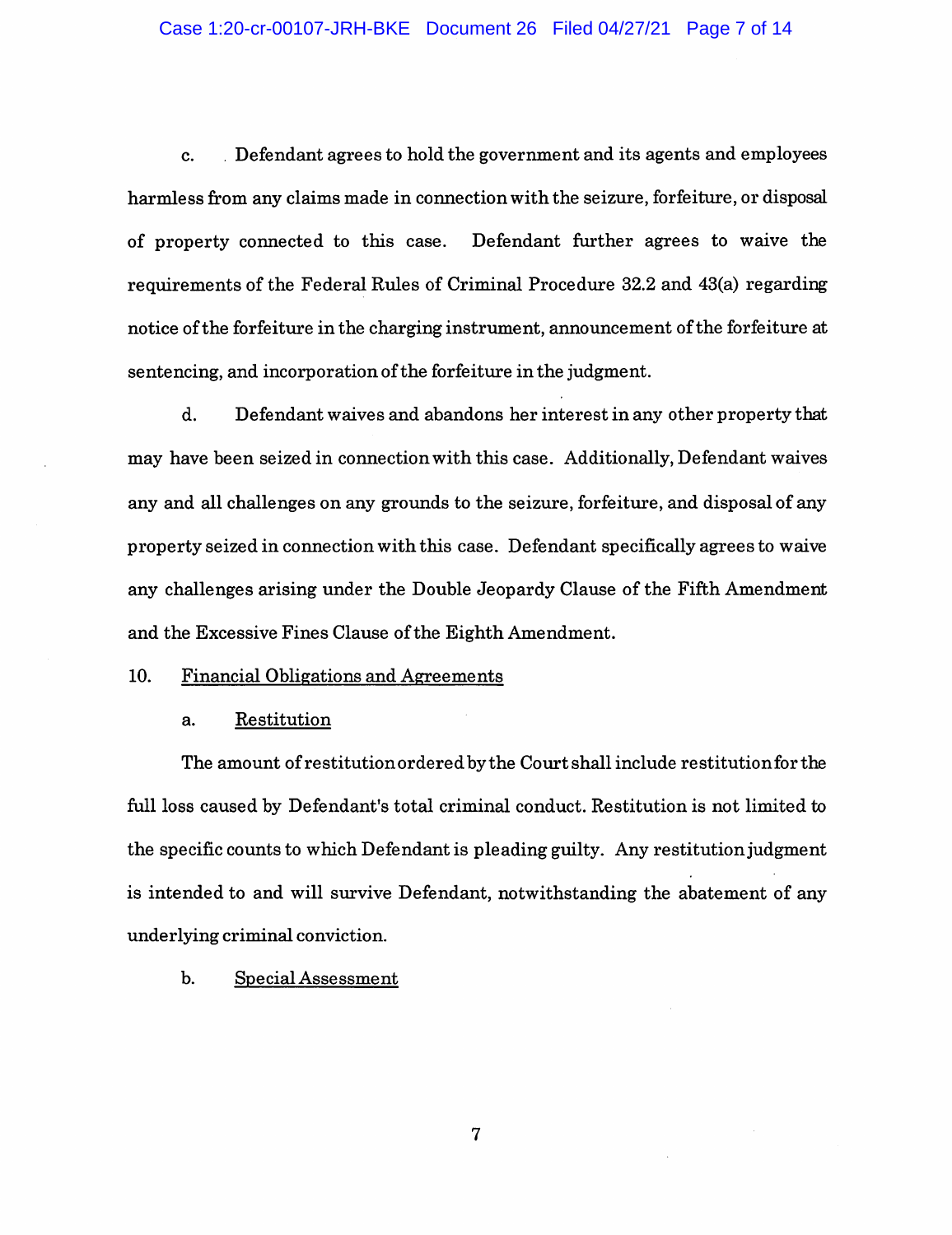### Case 1:20-cr-00107-JRH-BKE Document 26 Filed 04/27/21 Page 7 of 14

c. Defendant agrees to hold the government and its agents and employees harmless from any claims made in connection with the seizure, forfeiture, or disposal of property connected to this case. Defendant further agrees to waive the requirements of the Federal Rules of Criminal Procedure 32.2 and 43(a) regarding notice of the forfeiture in the charging instrument, announcement of the forfeiture at sentencing, and incorporation of the forfeiture in the judgment.

d. Defendant waives and abandons her interest in any other property that may have been seized in connection with this case. Additionally, Defendant waives any and all challenges on any grounds to the seizure, forfeiture, and disposal of any property seized in connection with this case. Defendant specifically agrees to waive any challenges arising under the Double Jeopardy Clause of the Fifth Amendment and the Excessive Fines Clause of the Eighth Amendment.

## 10. Financial Obligations and Agreements

#### a. Restitution

The amount of restitution ordered by the Court shall include restitution for the full loss caused by Defendant's total criminal conduct. Restitution is not limited to the specific counts to which Defendant is pleading guilty. Any restitution judgment is intended to and will survive Defendant, notwithstanding the abatement of any underlying criminal conviction.

# b. Special Assessment

 $\overline{7}$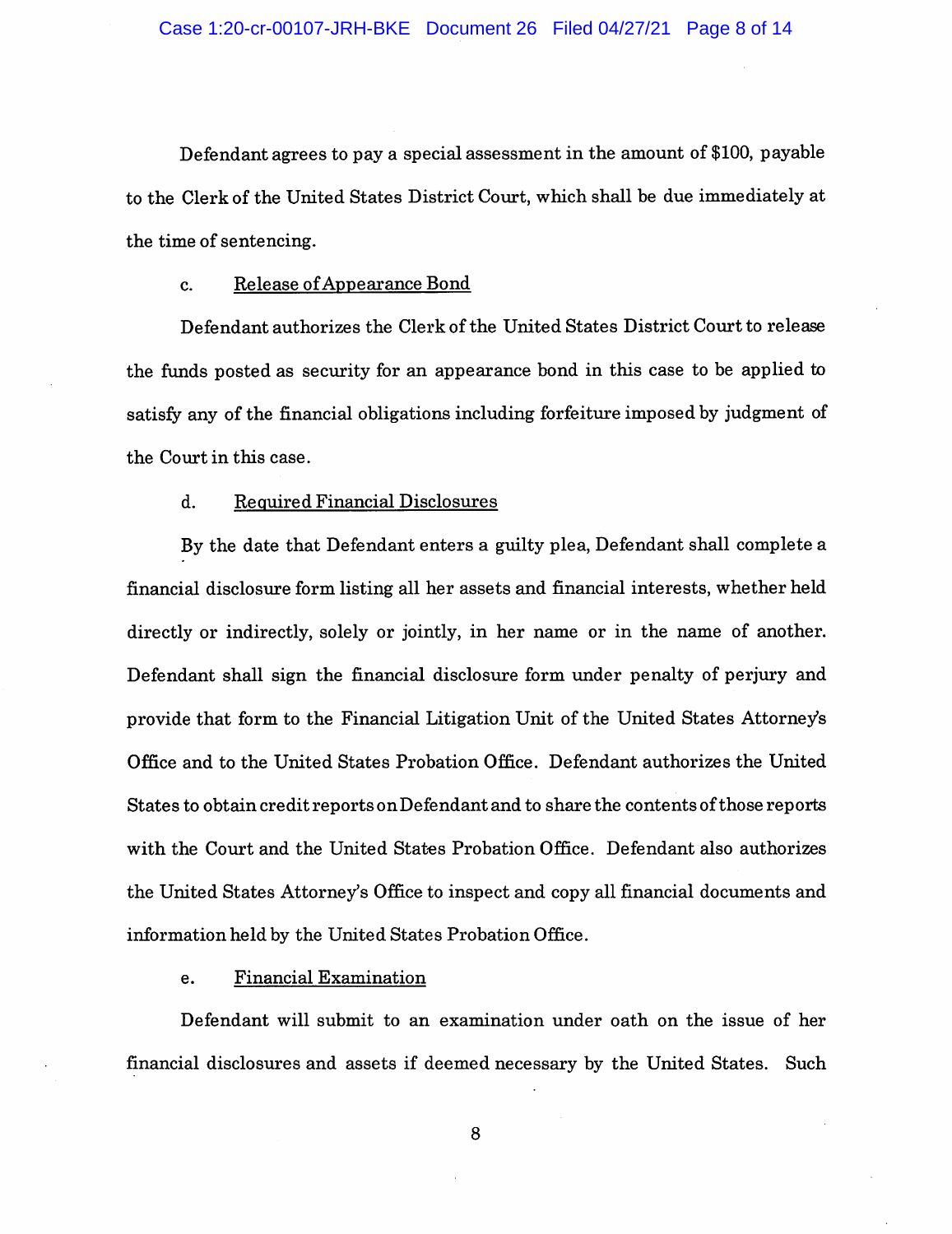Defendant agrees to pay a special assessment in the amount of \$100, payable to the Clerk of the United States District Court, which shall be due immediately at the time of sentencing.

#### c. Release of Appearance Bond

Defendant authorizes the Clerk of the United States District Court to release the funds posted as security for an appearance bond in this case to be applied to satisfy any of the financial obligations including forfeiture imposed by judgment of the Court in this case.

#### d. Required Financial Disclosures

By the date that Defendant enters a guilty plea. Defendant shall complete a financial disclosure form listing all her assets and financial interests, whether held directly or indirectly, solely or jointly, in her name or in the name of another. Defendant shall sign the financial disclosure form under penalty of perjury and provide that form to the Financial Litigation Unit of the United States Attorney's Office and to the United States Probation Office. Defendant authorizes the United States to obtain credit reports onDefendant and to share the contents of those reports with the Court and the United States Probation Office. Defendant also authorizes the United States Attorney's Office to inspect and copy all financial documents and information held by the United States Probation Office.

#### e. Financial Examination

Defendant will submit to an examination under oath on the issue of her financial disclosures and assets if deemed necessary by the United States. Such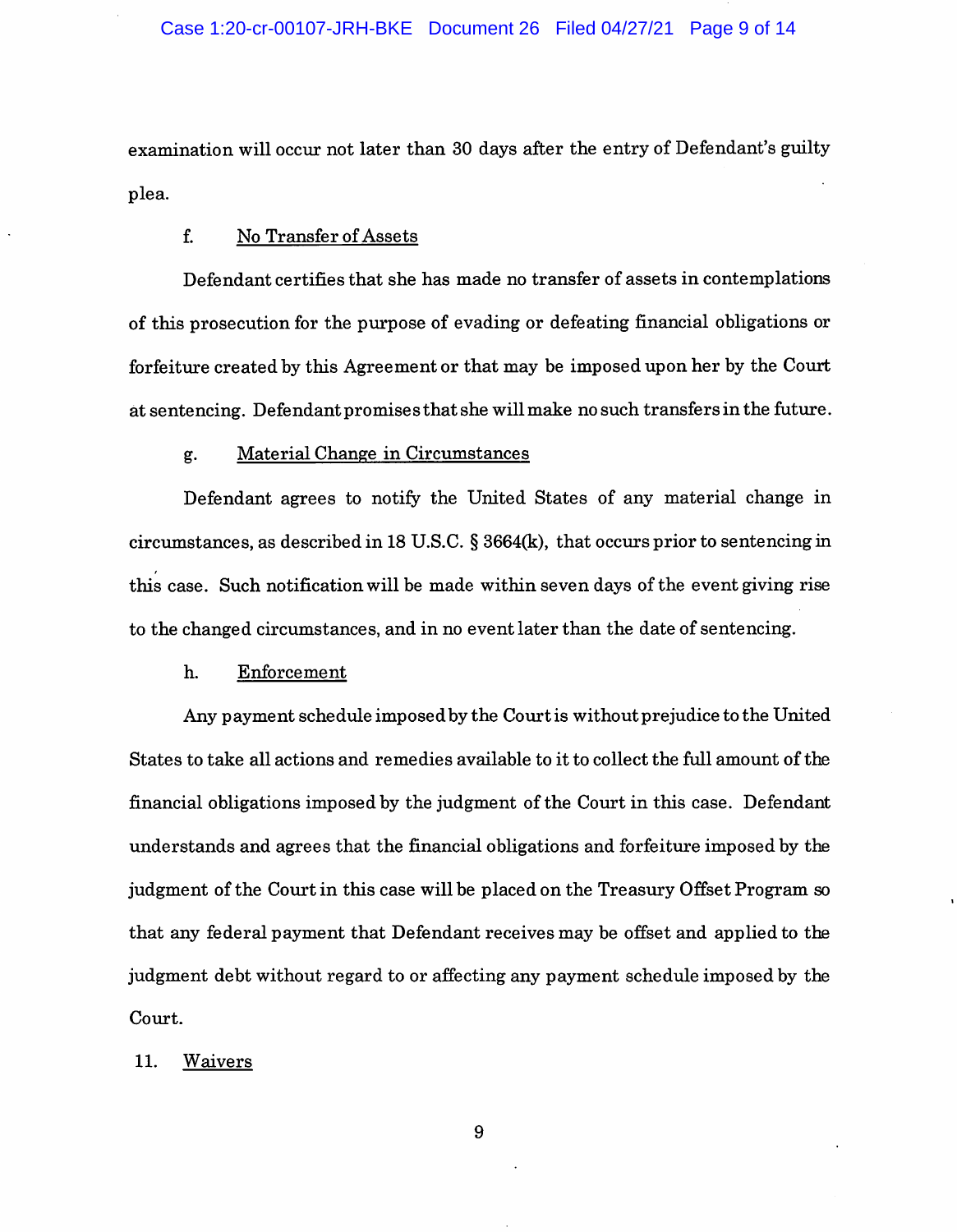## Case 1:20-cr-00107-JRH-BKE Document 26 Filed 04/27/21 Page 9 of 14

examination will occur not later than 30 days after the entry of Defendant's guilty plea.

# f. No Transfer of Assets

Defendant certifies that she has made no transfer of assets in contemplations of this prosecution for the purpose of evading or defeating financial obligations or forfeiture created by this Agreement or that may be imposed upon her by the Court at sentencing. Defendant promises that she will make no such transfers in the future.

#### g. Material Change in Circumstances

Defendant agrees to notify the United States of any material change in circumstances, as described in 18 U.S.C. § 3664(k), that occurs prior to sentencing in this case. Such notification will be made within seven days of the event giving rise to the changed circumstances, and in no event later than the date of sentencing,

#### h. Enforcement

Any payment schedule imposed by the Courtis without prejudice to the United States to take all actions and remedies available to it to collect the full amount of the financial obligations imposed by the judgment of the Court in this case. Defendant understands and agrees that the financial obligations and forfeiture imposed by the judgment of the Court in this case will be placed on the Treasury Offset Program so that any federal payment that Defendant receives may be offset and applied to the judgment debt without regard to or affecting any payment schedule imposed by the Court.

### 11. Waivers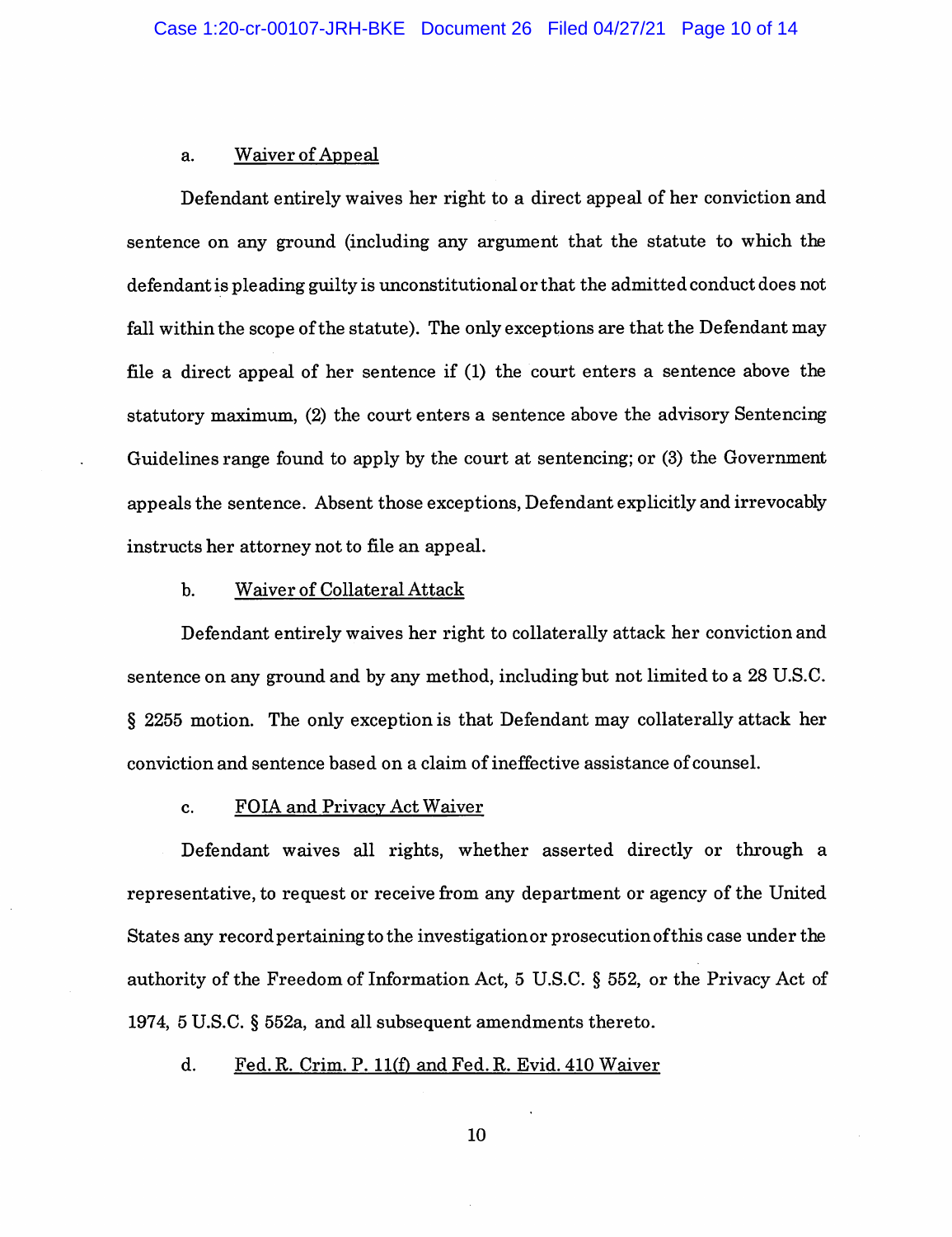#### a. Waiver of Appeal

Defendant entirely waives her right to a direct appeal of her conviction and sentence on any ground (including any argument that the statute to which the defendant is pleading guilty is unconstitutional or that the admitted conduct does not fall within the scope of the statute). The only exceptions are that the Defendant may file a direct appeal of her sentence if (1) the court enters a sentence above the statutory maximum, (2) the court enters a sentence above the advisory Sentencing Guidelines range found to apply by the court at sentencing; or (3) the Government appeals the sentence. Absent those exceptions, Defendant explicitly and irrevocably instructs her attorney not to file an appeal.

#### b. Waiver of Collateral Attack

Defendant entirely waives her right to collaterally attack her conviction and sentence on any ground and by any method, including but not limited to a 28 U.S.C. § 2255 motion. The only exception is that Defendant may collaterally attack her conviction and sentence based on a claim of ineffective assistance of counsel.

### c. FOIA and Privacv Act Waiver

Defendant waives all rights, whether asserted directly or through a representative, to request or receive from any department or agency of the United States any record pertaining to the investigation or prosecution of this case under the authority of the Freedom of Information Act, 5 U.S.C. § 552, or the Privacy Act of 1974, 5 U.S.C. § 552a, and all subsequent amendments thereto.

# d. Fed. R. Crim. P. 11(f) and Fed. R. Evid. 410 Waiver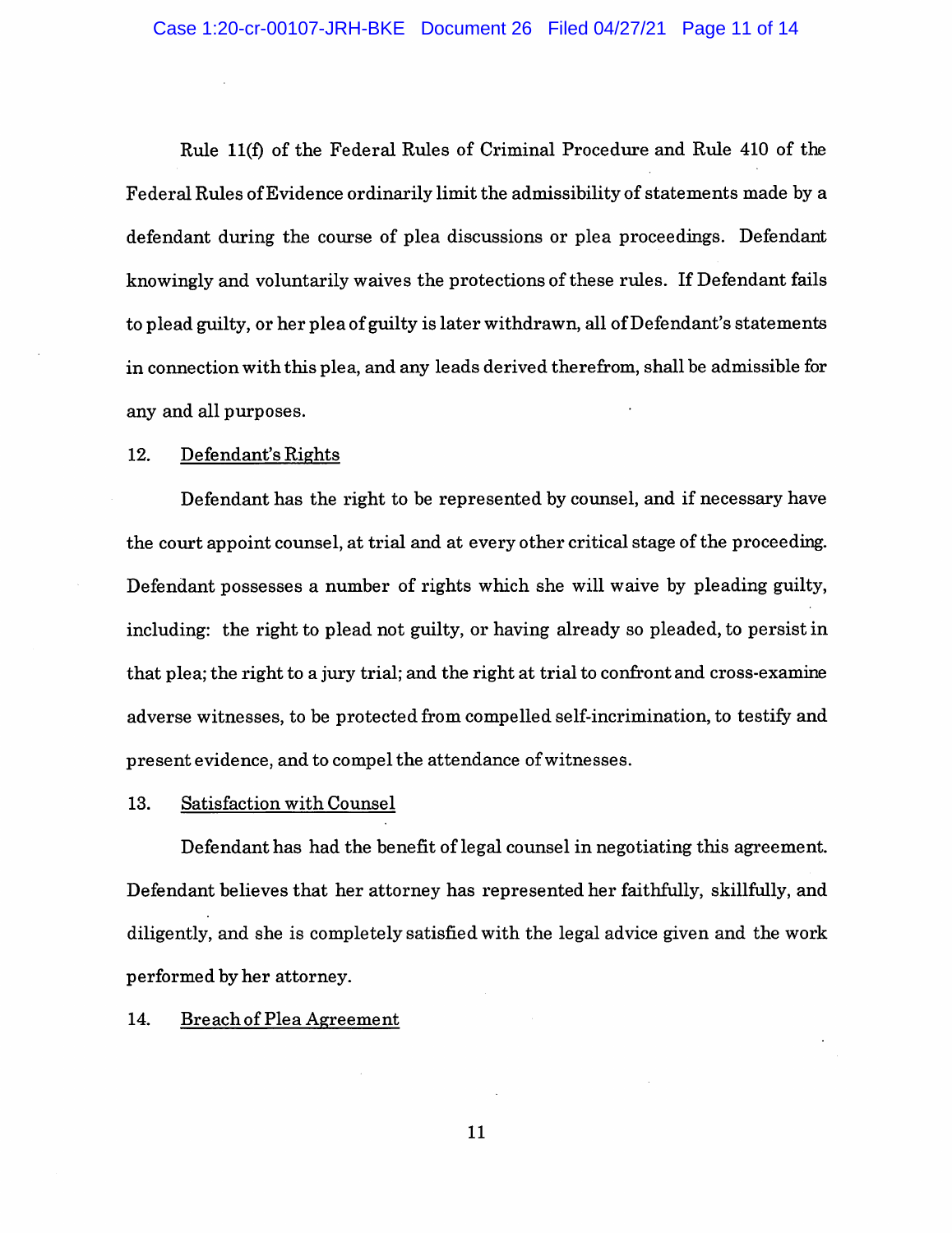Rule 11(f) of the Federal Rules of Criminal Procedure and Rule 410 of the Federal Rules of Evidence ordinarily limit the admissibility of statements made by a defendant during the course of plea discussions or plea proceedings. Defendant knowingly and voluntarily waives the protections of these rules. If Defendant fails to plead guilty, or her plea of guilty is later withdrawn, all of Defendant's statements in connection with this plea, and any leads derived therefrom, shall be admissible for any and all purposes.

# 12. Defendant's Rights

Defendant has the right to be represented by counsel, and if necessary have the court appoint counsel, at trial and at every other critical stage of the proceeding. Defendant possesses a number of rights which she will waive by pleading guilty, including: the right to plead not guilty, or having already so pleaded, to persist in that plea; the right to a jury trial; and the right at trial to confront and cross-examine adverse witnesses, to be protected from compelled self-incrimination, to testify and present evidence, and to compel the attendance of witnesses.

#### 13. Satisfaction with Counsel

Defendant has had the benefit of legal counsel in negotiating this agreement. Defendant believes that her attorney has represented her faithfully, skillfully, and diligently, and she is completely satisfied with the legal advice given and the work performed by her attorney.

#### 14. Breach of Plea Agreement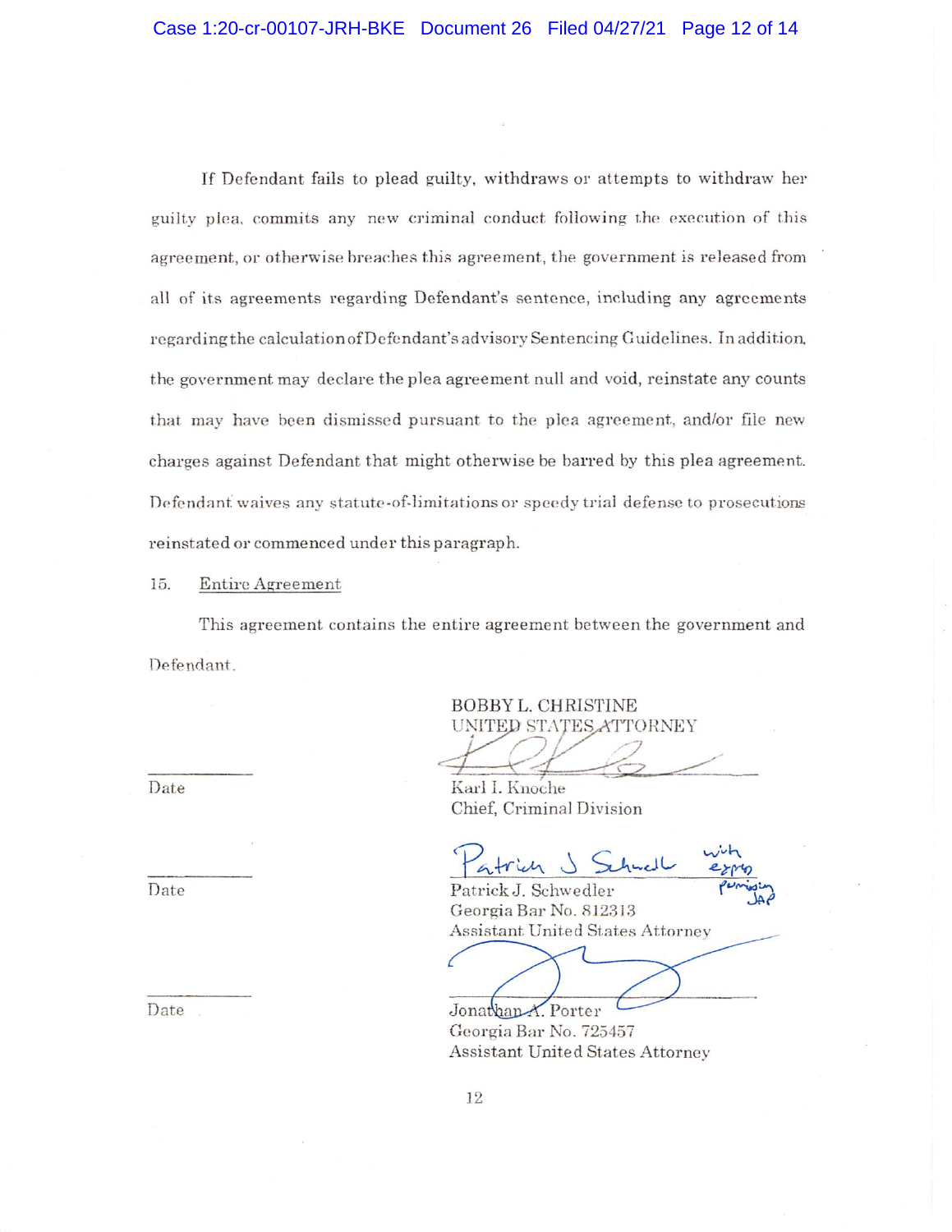If Defendant fails to plead guilty, withdraws or attempts to withdraw her guilty plea, commits any new criminal conduct following the execution of this agreement, or otherwise breaches this agreement, the government is released from all of its agreements regarding Defendant's sentence, including any agreements regarding the calculation of Defendant's advisory Sentencing Guidelines. In addition, the government may declare the plea agreement null and void, reinstate any counts that may have been dismissed pursuant to the plea agreement, and/or file new charges against Defendant that might otherwise be barred by this plea agreement. Defendant waives any statute-of-limitations or speedy trial defense to prosecutions reinstated or commenced under this paragraph.

15. Entire Agreement

This agreement contains the entire agreement between the government and Defendant.

BOBBY L. CHRISTINE UNITED STATES ATTORNEY

Date Karl I. Knoche Chief, Criminal Division

Date Patrick J. Schwedler Georgia Bar No. 812313 Assistant United States Attorney

Date . Jonathan-A. Porter Georgia Bar No. 725457 Assistant United States Attorney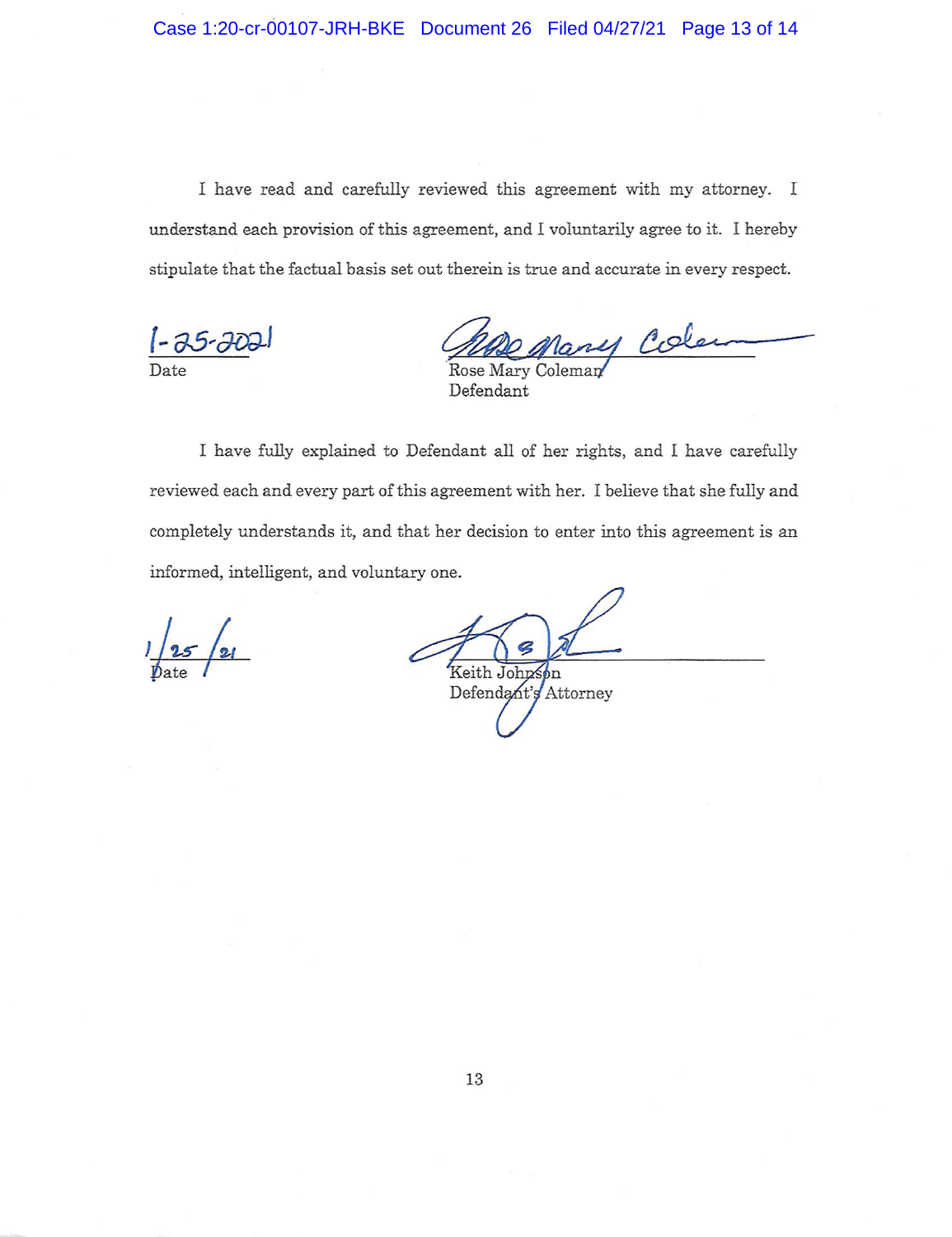I have read and carefully reviewed this agreement with my attorney. I understand each provision of this agreement, and I voluntarily agree to it. I hereby stipulate that the factual basis set out therein is true and accurate in every respect.

1112 Mary Cole

Defendant

I have fully explained to Defendant all of her rights, and I have carefully reviewed each and every part of this agreement with her. I believe that she fully and completely understands it, and that her decision to enter into this agreement is an informed, intelligent, and voluntary one.

 $25/21$ 

Keith Johnson Defendant's Attorney